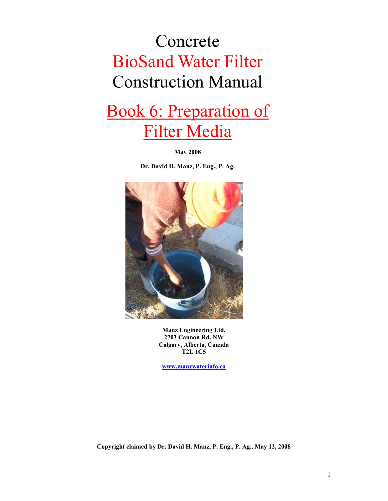## Concrete BioSand Water Filter Construction Manual

## Book 6: Preparation of Filter Media

**May 2008** 

**Dr. David H. Manz, P. Eng., P. Ag.** 



**Manz Engineering Ltd. 2703 Cannon Rd. NW Calgary, Alberta, Canada T2L 1C5** 

**www.manzwaterinfo.ca**

**Copyright claimed by Dr. David H. Manz, P. Eng., P. Ag., May 12, 2008**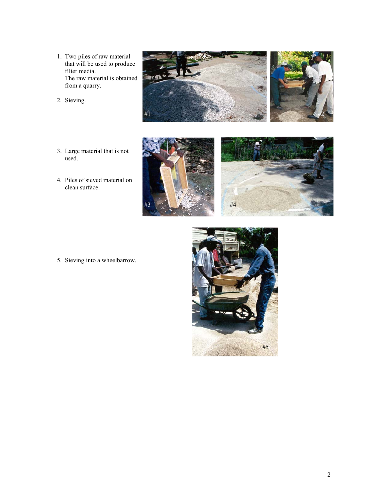- 1. Two piles of raw material that will be used to produce filter media. The raw material is obtained from a quarry.
- 2. Sieving.
- 3. Large material that is not used.
- 4. Piles of sieved material on clean surface.





5. Sieving into a wheelbarrow.



#4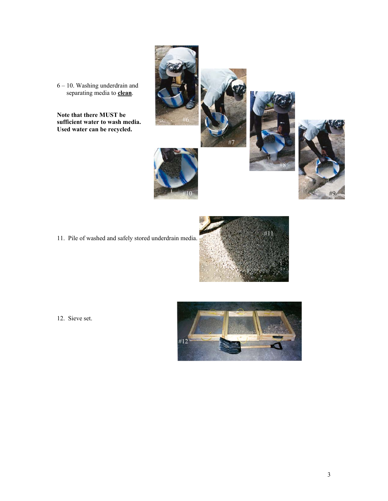6 – 10. Washing underdrain and separating media to **clean**.

**Note that there MUST be sufficient water to wash media. Used water can be recycled.** 

11. Pile of washed and safely stored underdrain media.



#7

#6

#10

12. Sieve set.



#8